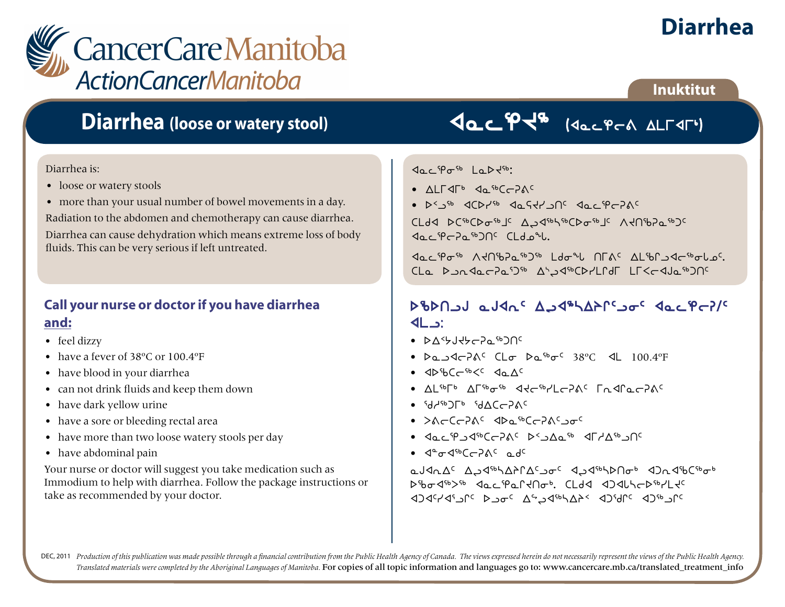

## **Diarrhea (loose or watery stool)**

#### Diarrhea is:

- loose or watery stools
- more than your usual number of bowel movements in a day.

Radiation to the abdomen and chemotherapy can cause diarrhea.

Diarrhea can cause dehydration which means extreme loss of body fluids. This can be very serious if left untreated.

#### **Call your nurse or doctor if you have diarrhea and:**

- feel dizzy
- have a fever of 38ºC or 100.4ºF
- have blood in your diarrhea
- can not drink fluids and keep them down
- have dark yellow urine
- have a sore or bleeding rectal area
- have more than two loose watery stools per day
- have abdominal pain

Your nurse or doctor will suggest you take medication such as Immodium to help with diarrhea. Follow the package instructions or take as recommended by your doctor.

# VacPJ8 (VacPCA ALTUT)

#### $\Delta$ ac 'Por<sup>sb</sup>ela Dr<sup>15</sup>b:

- wmuxu4 xN6boDF5
- $\bullet$   $D^2D^{6b}$   $QCDP^{6b}$   $QaGPDDf^c$   $QaC^{6}PCDf^c$

cldd bCipCbatplc A2diptipCbatplc V4Uip50tp2c  $\triangleleft$ oc $\frac{40}{5}$ c $\triangleleft$ o $\frac{60}{5}$ c $\triangleleft$ o $\triangleleft$ io $\triangleleft$ 

Boc Poth Atabash Idoul and Albertade CLa DundarPaD<sup>56</sup> Abud<sup>66</sup>CD7LPdF LF<cdJa<sup>66</sup>DN<sup>c</sup>

### scstlA NAxE5 wLx6nwpQ5li5 xNMeoDF5  $4L$ :

- $\bullet$  baskude-based  $\bullet$
- $Da_3$ <br/> $A_C$  and  $Ba_5$   $Ca_5$   $Ca_5$   $Ca_5$   $Ca_5$   $Ca_5$   $Ca_5$   $Ca_5$   $Ca_5$   $Ca_5$   $Ca_5$   $Ca_5$   $Ca_5$   $Ca_5$   $Ca_5$   $Ca_5$   $Ca_5$   $Ca_5$   $Ca_5$   $Ca_5$   $Ca_5$   $Ca_5$   $Ca_5$   $Ca_5$   $Ca_5$   $Ca_5$   $Ca_5$   $Ca_5$   $Ca_5$   $Ca_5$   $Ca_5$   $Ca_5$   $Ca_5$   $Ca$
- xscbo6X5 xNw5
- $\Lambda$ I spLp  $\Lambda$ Lape<sub>4</sub>  $\Lambda$ <sub>C</sub> when  $\Lambda$ <sub>C</sub>  $\Lambda$ <sub>C</sub>  $\Lambda$ <sub>C</sub>  $\Lambda$ <sub>C</sub>  $\Lambda$ <sub>C</sub>  $\Lambda$ <sub>C</sub>  $\Lambda$ <sub>C</sub>  $\Lambda$ <sub>C</sub>  $\Lambda$ <sub>C</sub>  $\Lambda$ <sub>C</sub>  $\Lambda$ <sub>C</sub>  $\Lambda$ <sub>C</sub>  $\Lambda$ <sub>C</sub>  $\Lambda$ <sub>C</sub>  $\Lambda$ <sub>C</sub>  $\Lambda$ <sub>C</sub>  $\Lambda$ <sub>C</sub>  $\Lambda$ <sub>C</sub>  $\Lambda$ <sub>C</sub>  $\Lambda$ <sub>C</sub>  $\Lambda$ <sub>C</sub>  $\Lambda$ <sub>C</sub>  $\Lambda$ <sub>C</sub>
- $\bullet$   $\circ$ d $\circ$ d $\circ$ F $\circ$   $\circ$ d $\circ$ C $\circ$
- SFoboDF5 xsN6boDF5li5
- Jacip JasoChang Desa Salas Salamang
- $4^{\circ} \sigma 4^{\circ} 6 \sigma 2 \Lambda^c$  odc

aJAnAC AJ4<sup>66</sup>hAfACsJoc AJ4<sup>66</sup>hDnob AJn46Csbob scix6S6 xNMeNQJti4. bmfx xgxZnos6ymJ5  $\sqrt{2}$ 1967 st $\Delta\gamma$ dec $\Delta\gamma$ alah selama kacamatan kacamatan kacamatan sebanj

DEC, 2011 Production of this publication was made possible through a financial contribution from the Public Health Agency of Canada. The views expressed herein do not necessarily represent the views of the Public Health Ag *Translated materials were completed by the Aboriginal Languages of Manitoba.* For copies of all topic information and languages go to: www.cancercare.mb.ca/translated\_treatment\_info

### **Inuktitut**

**Diarrhea**